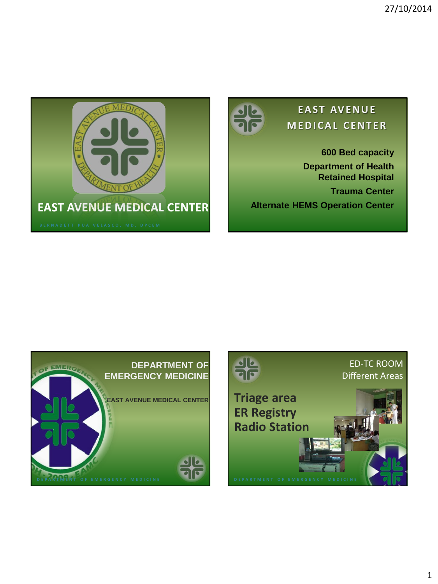



## **E A S T AV E N U E M E D I C A L C E N T E R**

**600 Bed capacity Department of Health Retained Hospital Trauma Center Alternate HEMS Operation Center**



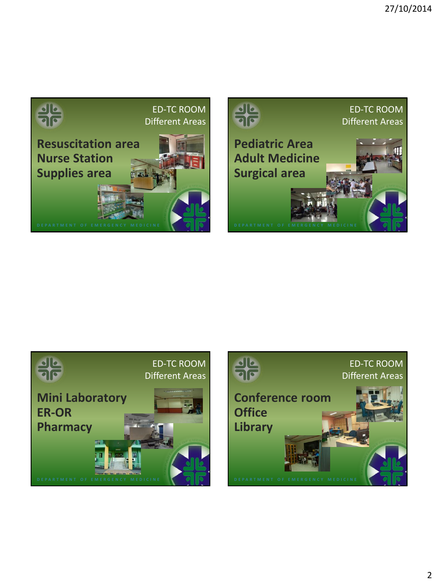





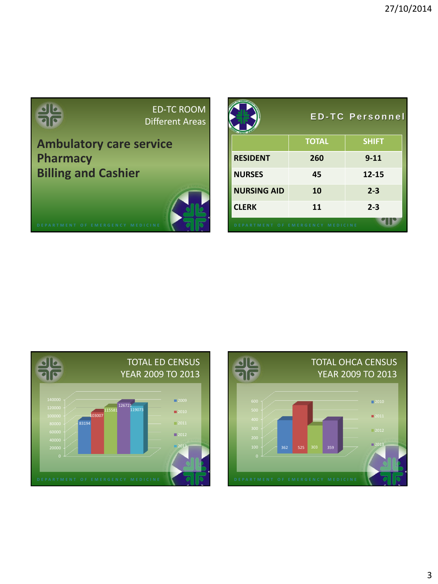|                                  | <b>ED-TC ROOM</b><br>Different Areas |                                  |              | <b>ED-TC Personnel</b> |
|----------------------------------|--------------------------------------|----------------------------------|--------------|------------------------|
| <b>Ambulatory care service</b>   |                                      |                                  | <b>TOTAL</b> | <b>SHIFT</b>           |
| <b>Pharmacy</b>                  |                                      | <b>RESIDENT</b>                  | 260          | $9 - 11$               |
| <b>Billing and Cashier</b>       |                                      | <b>NURSES</b>                    | 45           | $12 - 15$              |
|                                  |                                      | <b>NURSING AID</b>               | 10           | $2 - 3$                |
|                                  |                                      | <b>CLERK</b>                     | 11           | $2 - 3$                |
| DEPARTMENT OF EMERGENCY MEDICINE |                                      | DEPARTMENT OF EMERGENCY MEDICINE |              |                        |

and the control of the control of the control of the control of the control of



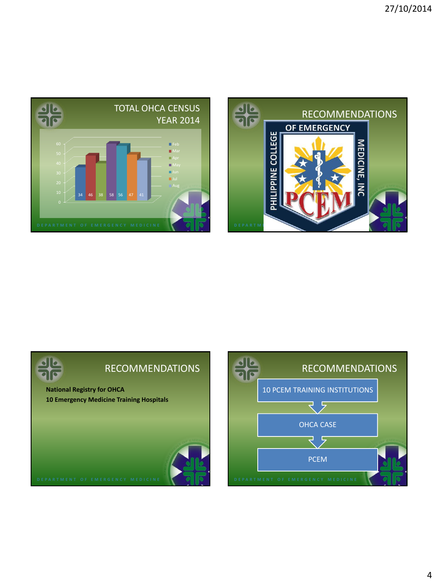